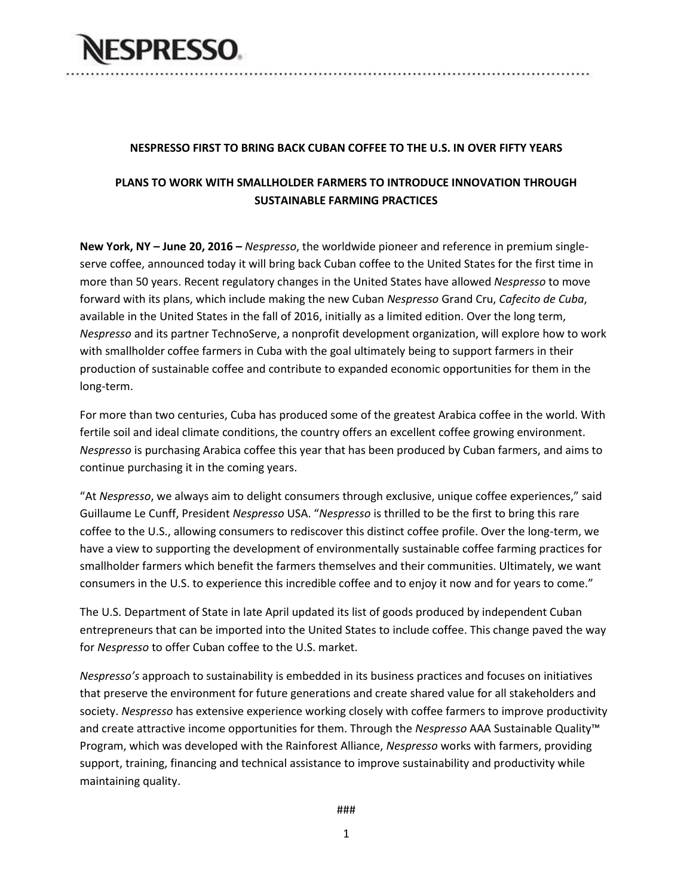

### **NESPRESSO FIRST TO BRING BACK CUBAN COFFEE TO THE U.S. IN OVER FIFTY YEARS**

...................

## **PLANS TO WORK WITH SMALLHOLDER FARMERS TO INTRODUCE INNOVATION THROUGH SUSTAINABLE FARMING PRACTICES**

**New York, NY – June 20, 2016 –** *Nespresso*, the worldwide pioneer and reference in premium singleserve coffee, announced today it will bring back Cuban coffee to the United States for the first time in more than 50 years. Recent regulatory changes in the United States have allowed *Nespresso* to move forward with its plans, which include making the new Cuban *Nespresso* Grand Cru, *Cafecito de Cuba*, available in the United States in the fall of 2016, initially as a limited edition. Over the long term, *Nespresso* and its partner TechnoServe, a nonprofit development organization, will explore how to work with smallholder coffee farmers in Cuba with the goal ultimately being to support farmers in their production of sustainable coffee and contribute to expanded economic opportunities for them in the long-term.

For more than two centuries, Cuba has produced some of the greatest Arabica coffee in the world. With fertile soil and ideal climate conditions, the country offers an excellent coffee growing environment. *Nespresso* is purchasing Arabica coffee this year that has been produced by Cuban farmers, and aims to continue purchasing it in the coming years.

"At *Nespresso*, we always aim to delight consumers through exclusive, unique coffee experiences," said Guillaume Le Cunff, President *Nespresso* USA. "*Nespresso* is thrilled to be the first to bring this rare coffee to the U.S., allowing consumers to rediscover this distinct coffee profile. Over the long-term, we have a view to supporting the development of environmentally sustainable coffee farming practices for smallholder farmers which benefit the farmers themselves and their communities. Ultimately, we want consumers in the U.S. to experience this incredible coffee and to enjoy it now and for years to come."

The U.S. Department of State in late April updated its list of goods produced by independent Cuban entrepreneurs that can be imported into the United States to include coffee. This change paved the way for *Nespresso* to offer Cuban coffee to the U.S. market.

*Nespresso's* approach to sustainability is embedded in its business practices and focuses on initiatives that preserve the environment for future generations and create shared value for all stakeholders and society. *Nespresso* has extensive experience working closely with coffee farmers to improve productivity and create attractive income opportunities for them. Through the *Nespresso* AAA Sustainable Quality™ Program, which was developed with the Rainforest Alliance, *Nespresso* works with farmers, providing support, training, financing and technical assistance to improve sustainability and productivity while maintaining quality.